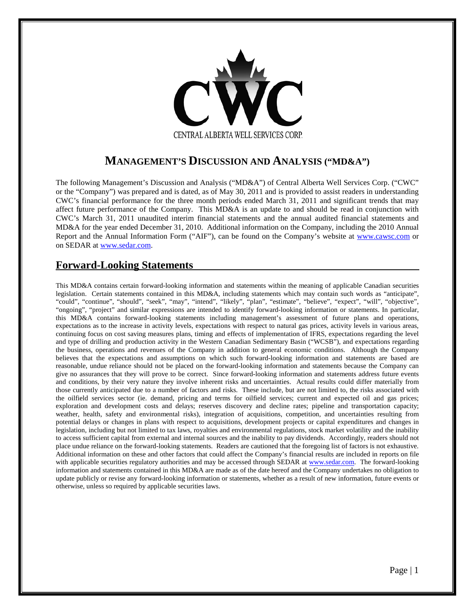

## **MANAGEMENT'S DISCUSSION AND ANALYSIS ("MD&A")**

The following Management's Discussion and Analysis ("MD&A") of Central Alberta Well Services Corp. ("CWC" or the "Company") was prepared and is dated, as of May 30, 2011 and is provided to assist readers in understanding CWC's financial performance for the three month periods ended March 31, 2011 and significant trends that may affect future performance of the Company. This MD&A is an update to and should be read in conjunction with CWC's March 31, 2011 unaudited interim financial statements and the annual audited financial statements and MD&A for the year ended December 31, 2010. Additional information on the Company, including the 2010 Annual Report and the Annual Information Form ("AIF"), can be found on the Company's website at [www.cawsc.com](http://www.cawsc.com/) or on SEDAR at [www.sedar.com.](http://www.sedar.com/)

## **Forward-Looking Statements**

This MD&A contains certain forward-looking information and statements within the meaning of applicable Canadian securities legislation. Certain statements contained in this MD&A, including statements which may contain such words as "anticipate", "could", "continue", "should", "seek", "may", "intend", "likely", "plan", "estimate", "believe", "expect", "will", "objective", "ongoing", "project" and similar expressions are intended to identify forward-looking information or statements. In particular, this MD&A contains forward-looking statements including management's assessment of future plans and operations, expectations as to the increase in activity levels, expectations with respect to natural gas prices, activity levels in various areas, continuing focus on cost saving measures plans, timing and effects of implementation of IFRS, expectations regarding the level and type of drilling and production activity in the Western Canadian Sedimentary Basin ("WCSB"), and expectations regarding the business, operations and revenues of the Company in addition to general economic conditions. Although the Company believes that the expectations and assumptions on which such forward-looking information and statements are based are reasonable, undue reliance should not be placed on the forward-looking information and statements because the Company can give no assurances that they will prove to be correct. Since forward-looking information and statements address future events and conditions, by their very nature they involve inherent risks and uncertainties. Actual results could differ materially from those currently anticipated due to a number of factors and risks. These include, but are not limited to, the risks associated with the oilfield services sector (ie. demand, pricing and terms for oilfield services; current and expected oil and gas prices; exploration and development costs and delays; reserves discovery and decline rates; pipeline and transportation capacity; weather, health, safety and environmental risks), integration of acquisitions, competition, and uncertainties resulting from potential delays or changes in plans with respect to acquisitions, development projects or capital expenditures and changes in legislation, including but not limited to tax laws, royalties and environmental regulations, stock market volatility and the inability to access sufficient capital from external and internal sources and the inability to pay dividends. Accordingly, readers should not place undue reliance on the forward-looking statements. Readers are cautioned that the foregoing list of factors is not exhaustive. Additional information on these and other factors that could affect the Company's financial results are included in reports on file with applicable securities regulatory authorities and may be accessed through SEDAR at [www.sedar.com.](http://www.sedar.com/) The forward-looking information and statements contained in this MD&A are made as of the date hereof and the Company undertakes no obligation to update publicly or revise any forward-looking information or statements, whether as a result of new information, future events or otherwise, unless so required by applicable securities laws.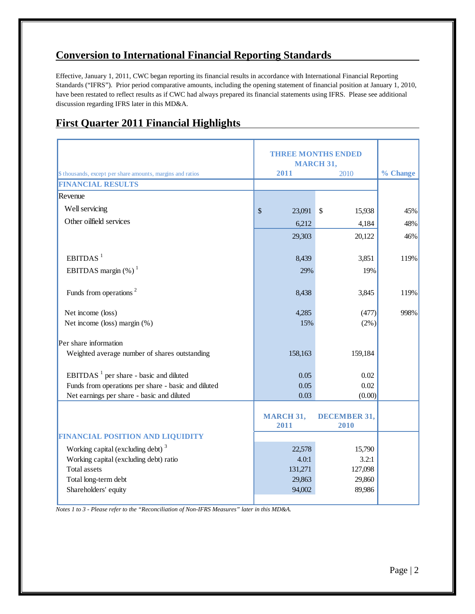## **Conversion to International Financial Reporting Standards**

Effective, January 1, 2011, CWC began reporting its financial results in accordance with International Financial Reporting Standards ("IFRS"). Prior period comparative amounts, including the opening statement of financial position at January 1, 2010, have been restated to reflect results as if CWC had always prepared its financial statements using IFRS. Please see additional discussion regarding IFRS later in this MD&A.

## **First Quarter 2011 Financial Highlights**

|                                                                 | <b>THREE MONTHS ENDED</b>           |                                     |          |
|-----------------------------------------------------------------|-------------------------------------|-------------------------------------|----------|
| \$ thousands, except per share amounts, margins and ratios      | 2011                                | <b>MARCH 31,</b><br>2010            | % Change |
| <b>FINANCIAL RESULTS</b>                                        |                                     |                                     |          |
| Revenue                                                         |                                     |                                     |          |
| Well servicing                                                  | $\boldsymbol{\mathsf{S}}$<br>23,091 | $\boldsymbol{\mathsf{S}}$<br>15,938 | 45%      |
| Other oilfield services                                         | 6,212                               | 4,184                               | 48%      |
|                                                                 | 29,303                              | 20,122                              | 46%      |
|                                                                 |                                     |                                     |          |
| EBITDAS <sup>1</sup>                                            | 8,439                               | 3,851                               | 119%     |
| EBITDAS margin $(\%)$ <sup>1</sup>                              | 29%                                 | 19%                                 |          |
|                                                                 |                                     |                                     |          |
| Funds from operations <sup>2</sup>                              | 8,438                               | 3,845                               | 119%     |
|                                                                 |                                     |                                     |          |
| Net income (loss)                                               | 4,285<br>15%                        | (477)                               | 998%     |
| Net income (loss) margin (%)                                    |                                     | $(2\%)$                             |          |
| Per share information                                           |                                     |                                     |          |
| Weighted average number of shares outstanding                   | 158,163                             | 159,184                             |          |
|                                                                 |                                     |                                     |          |
| EBITDAS <sup><math>1</math></sup> per share - basic and diluted | 0.05                                | $0.02\,$                            |          |
| Funds from operations per share - basic and diluted             | 0.05                                | 0.02                                |          |
| Net earnings per share - basic and diluted                      | 0.03                                | (0.00)                              |          |
|                                                                 |                                     | <b>DECEMBER 31,</b>                 |          |
|                                                                 | <b>MARCH 31,</b><br>2011            | 2010                                |          |
| FINANCIAL POSITION AND LIQUIDITY                                |                                     |                                     |          |
| Working capital (excluding debt) <sup>3</sup>                   | 22,578                              | 15,790                              |          |
| Working capital (excluding debt) ratio                          | 4.0:1                               | 3.2:1                               |          |
| <b>Total assets</b>                                             | 131,271                             | 127,098                             |          |
| Total long-term debt                                            | 29,863                              | 29,860                              |          |
| Shareholders' equity                                            | 94,002                              | 89,986                              |          |

*Notes 1 to 3 - Please refer to the "Reconciliation of Non-IFRS Measures" later in this MD&A.*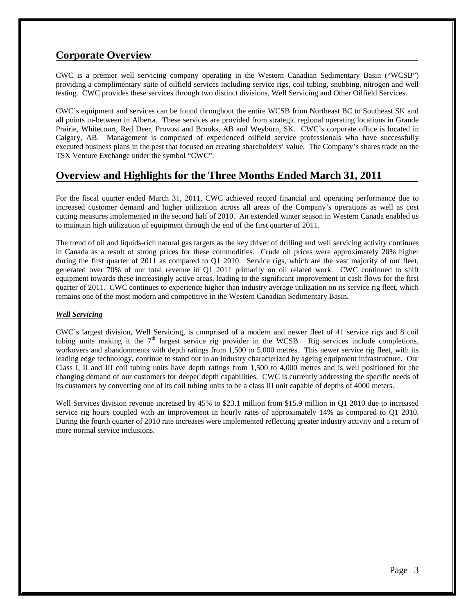## **Corporate Overview**

CWC is a premier well servicing company operating in the Western Canadian Sedimentary Basin ("WCSB") providing a complimentary suite of oilfield services including service rigs, coil tubing, snubbing, nitrogen and well testing. CWC provides these services through two distinct divisions, Well Servicing and Other Oilfield Services.

CWC's equipment and services can be found throughout the entire WCSB from Northeast BC to Southeast SK and all points in-between in Alberta. These services are provided from strategic regional operating locations in Grande Prairie, Whitecourt, Red Deer, Provost and Brooks, AB and Weyburn, SK. CWC's corporate office is located in Calgary, AB. Management is comprised of experienced oilfield service professionals who have successfully executed business plans in the past that focused on creating shareholders' value. The Company's shares trade on the TSX Venture Exchange under the symbol "CWC".

## **Overview and Highlights for the Three Months Ended March 31, 2011**

For the fiscal quarter ended March 31, 2011, CWC achieved record financial and operating performance due to increased customer demand and higher utilization across all areas of the Company's operations as well as cost cutting measures implemented in the second half of 2010. An extended winter season in Western Canada enabled us to maintain high utilization of equipment through the end of the first quarter of 2011.

The trend of oil and liquids-rich natural gas targets as the key driver of drilling and well servicing activity continues in Canada as a result of strong prices for these commodities. Crude oil prices were approximately 20% higher during the first quarter of 2011 as compared to Q1 2010. Service rigs, which are the vast majority of our fleet, generated over 70% of our total revenue in Q1 2011 primarily on oil related work. CWC continued to shift equipment towards these increasingly active areas, leading to the significant improvement in cash flows for the first quarter of 2011. CWC continues to experience higher than industry average utilization on its service rig fleet, which remains one of the most modern and competitive in the Western Canadian Sedimentary Basin.

### *Well Servicing*

CWC's largest division, Well Servicing, is comprised of a modern and newer fleet of 41 service rigs and 8 coil tubing units making it the  $7<sup>th</sup>$  largest service rig provider in the WCSB. Rig services include completions, workovers and abandonments with depth ratings from 1,500 to 5,000 metres. This newer service rig fleet, with its leading edge technology, continue to stand out in an industry characterized by ageing equipment infrastructure. Our Class I, II and III coil tubing units have depth ratings from 1,500 to 4,000 metres and is well positioned for the changing demand of our customers for deeper depth capabilities. CWC is currently addressing the specific needs of its customers by converting one of its coil tubing units to be a class III unit capable of depths of 4000 meters.

Well Services division revenue increased by 45% to \$23.1 million from \$15.9 million in Q1 2010 due to increased service rig hours coupled with an improvement in hourly rates of approximately 14% as compared to Q1 2010. During the fourth quarter of 2010 rate increases were implemented reflecting greater industry activity and a return of more normal service inclusions.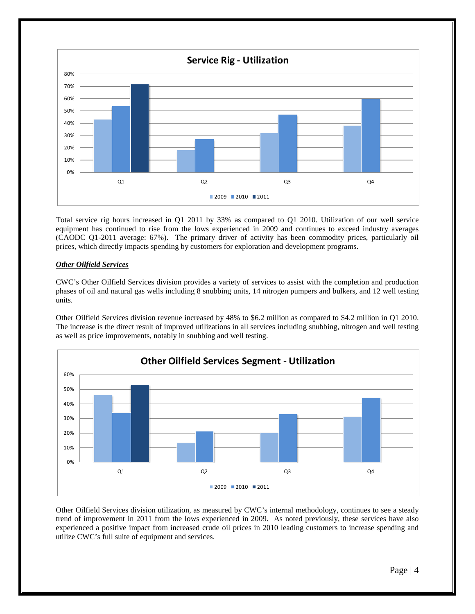

Total service rig hours increased in Q1 2011 by 33% as compared to Q1 2010. Utilization of our well service equipment has continued to rise from the lows experienced in 2009 and continues to exceed industry averages (CAODC Q1-2011 average: 67%). The primary driver of activity has been commodity prices, particularly oil prices, which directly impacts spending by customers for exploration and development programs.

### *Other Oilfield Services*

CWC's Other Oilfield Services division provides a variety of services to assist with the completion and production phases of oil and natural gas wells including 8 snubbing units, 14 nitrogen pumpers and bulkers, and 12 well testing units.

Other Oilfield Services division revenue increased by 48% to \$6.2 million as compared to \$4.2 million in Q1 2010. The increase is the direct result of improved utilizations in all services including snubbing, nitrogen and well testing as well as price improvements, notably in snubbing and well testing.



Other Oilfield Services division utilization, as measured by CWC's internal methodology, continues to see a steady trend of improvement in 2011 from the lows experienced in 2009. As noted previously, these services have also experienced a positive impact from increased crude oil prices in 2010 leading customers to increase spending and utilize CWC's full suite of equipment and services.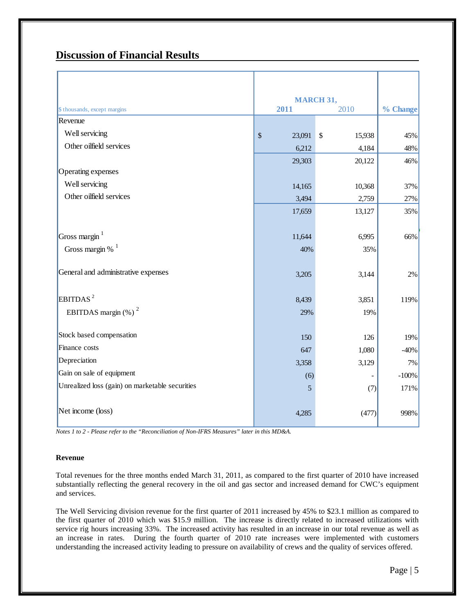## **Discussion of Financial Results**

|                                                 | <b>MARCH 31,</b>  |              |          |
|-------------------------------------------------|-------------------|--------------|----------|
| \$ thousands, except margins                    | 2011<br>2010      |              | % Change |
| Revenue                                         |                   |              |          |
| Well servicing                                  | $\sqrt$<br>23,091 | \$<br>15,938 | 45%      |
| Other oilfield services                         | 6,212             | 4,184        | 48%      |
|                                                 | 29,303            | 20,122       | 46%      |
| Operating expenses                              |                   |              |          |
| Well servicing                                  | 14,165            | 10,368       | 37%      |
| Other oilfield services                         | 3,494             | 2,759        | 27%      |
|                                                 | 17,659            | 13,127       | 35%      |
|                                                 |                   |              |          |
| Gross margin <sup>1</sup>                       | 11,644            | 6,995        | 66%      |
| Gross margin % $1$                              | 40%               | 35%          |          |
|                                                 |                   |              |          |
| General and administrative expenses             | 3,205             | 3,144        | $2\%$    |
|                                                 |                   |              |          |
| EBITDAS <sup>2</sup>                            | 8,439             | 3,851        | 119%     |
| EBITDAS margin $(\%)$ <sup>2</sup>              | 29%               | 19%          |          |
|                                                 |                   |              |          |
| Stock based compensation                        | 150               | 126          | 19%      |
| Finance costs                                   | 647               | 1,080        | $-40%$   |
| Depreciation                                    | 3,358             | 3,129        | 7%       |
| Gain on sale of equipment                       | (6)               |              | $-100%$  |
| Unrealized loss (gain) on marketable securities | 5                 | (7)          | 171%     |
|                                                 |                   |              |          |
| Net income (loss)                               | 4,285             | (477)        | 998%     |
|                                                 |                   |              |          |

*Notes 1 to 2 - Please refer to the "Reconciliation of Non-IFRS Measures" later in this MD&A.*

### **Revenue**

Total revenues for the three months ended March 31, 2011, as compared to the first quarter of 2010 have increased substantially reflecting the general recovery in the oil and gas sector and increased demand for CWC's equipment and services.

The Well Servicing division revenue for the first quarter of 2011 increased by 45% to \$23.1 million as compared to the first quarter of 2010 which was \$15.9 million. The increase is directly related to increased utilizations with service rig hours increasing 33%. The increased activity has resulted in an increase in our total revenue as well as an increase in rates. During the fourth quarter of 2010 rate increases were implemented with customers understanding the increased activity leading to pressure on availability of crews and the quality of services offered.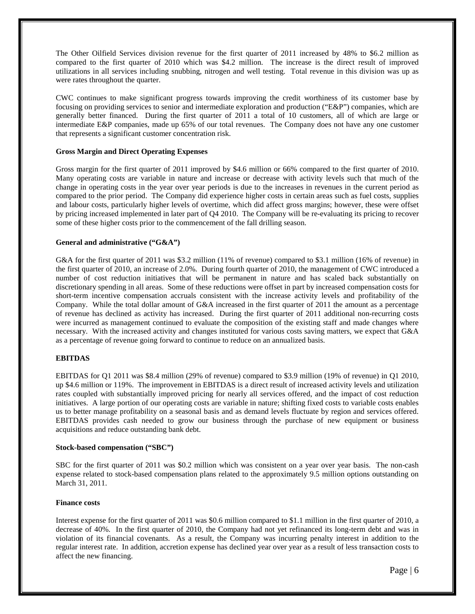The Other Oilfield Services division revenue for the first quarter of 2011 increased by 48% to \$6.2 million as compared to the first quarter of 2010 which was \$4.2 million. The increase is the direct result of improved utilizations in all services including snubbing, nitrogen and well testing. Total revenue in this division was up as were rates throughout the quarter.

CWC continues to make significant progress towards improving the credit worthiness of its customer base by focusing on providing services to senior and intermediate exploration and production ("E&P") companies, which are generally better financed. During the first quarter of 2011 a total of 10 customers, all of which are large or intermediate E&P companies, made up 65% of our total revenues. The Company does not have any one customer that represents a significant customer concentration risk.

#### **Gross Margin and Direct Operating Expenses**

Gross margin for the first quarter of 2011 improved by \$4.6 million or 66% compared to the first quarter of 2010. Many operating costs are variable in nature and increase or decrease with activity levels such that much of the change in operating costs in the year over year periods is due to the increases in revenues in the current period as compared to the prior period. The Company did experience higher costs in certain areas such as fuel costs, supplies and labour costs, particularly higher levels of overtime, which did affect gross margins; however, these were offset by pricing increased implemented in later part of Q4 2010. The Company will be re-evaluating its pricing to recover some of these higher costs prior to the commencement of the fall drilling season.

#### **General and administrative ("G&A")**

G&A for the first quarter of 2011 was \$3.2 million (11% of revenue) compared to \$3.1 million (16% of revenue) in the first quarter of 2010, an increase of 2.0%. During fourth quarter of 2010, the management of CWC introduced a number of cost reduction initiatives that will be permanent in nature and has scaled back substantially on discretionary spending in all areas. Some of these reductions were offset in part by increased compensation costs for short-term incentive compensation accruals consistent with the increase activity levels and profitability of the Company. While the total dollar amount of G&A increased in the first quarter of 2011 the amount as a percentage of revenue has declined as activity has increased. During the first quarter of 2011 additional non-recurring costs were incurred as management continued to evaluate the composition of the existing staff and made changes where necessary. With the increased activity and changes instituted for various costs saving matters, we expect that G&A as a percentage of revenue going forward to continue to reduce on an annualized basis.

### **EBITDAS**

EBITDAS for Q1 2011 was \$8.4 million (29% of revenue) compared to \$3.9 million (19% of revenue) in Q1 2010, up \$4.6 million or 119%. The improvement in EBITDAS is a direct result of increased activity levels and utilization rates coupled with substantially improved pricing for nearly all services offered, and the impact of cost reduction initiatives. A large portion of our operating costs are variable in nature; shifting fixed costs to variable costs enables us to better manage profitability on a seasonal basis and as demand levels fluctuate by region and services offered. EBITDAS provides cash needed to grow our business through the purchase of new equipment or business acquisitions and reduce outstanding bank debt.

#### **Stock-based compensation ("SBC")**

SBC for the first quarter of 2011 was \$0.2 million which was consistent on a year over year basis. The non-cash expense related to stock-based compensation plans related to the approximately 9.5 million options outstanding on March 31, 2011.

#### **Finance costs**

Interest expense for the first quarter of 2011 was \$0.6 million compared to \$1.1 million in the first quarter of 2010, a decrease of 40%. In the first quarter of 2010, the Company had not yet refinanced its long-term debt and was in violation of its financial covenants. As a result, the Company was incurring penalty interest in addition to the regular interest rate. In addition, accretion expense has declined year over year as a result of less transaction costs to affect the new financing.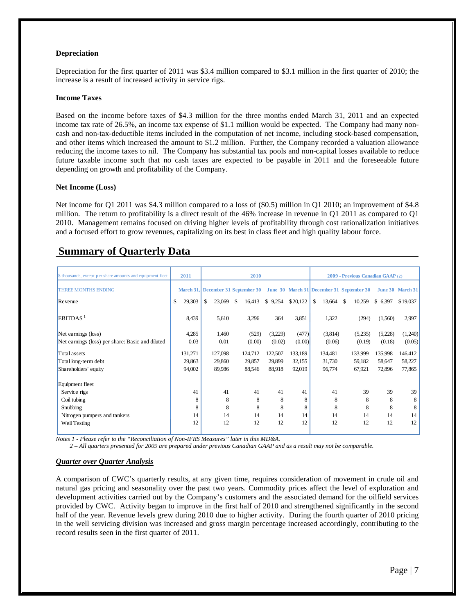#### **Depreciation**

Depreciation for the first quarter of 2011 was \$3.4 million compared to \$3.1 million in the first quarter of 2010; the increase is a result of increased activity in service rigs.

#### **Income Taxes**

Based on the income before taxes of \$4.3 million for the three months ended March 31, 2011 and an expected income tax rate of 26.5%, an income tax expense of \$1.1 million would be expected. The Company had many noncash and non-tax-deductible items included in the computation of net income, including stock-based compensation, and other items which increased the amount to \$1.2 million. Further, the Company recorded a valuation allowance reducing the income taxes to nil. The Company has substantial tax pools and non-capital losses available to reduce future taxable income such that no cash taxes are expected to be payable in 2011 and the foreseeable future depending on growth and profitability of the Company.

#### **Net Income (Loss)**

Net income for Q1 2011 was \$4.3 million compared to a loss of (\$0.5) million in Q1 2010; an improvement of \$4.8 million. The return to profitability is a direct result of the 46% increase in revenue in Q1 2011 as compared to Q1 2010. Management remains focused on driving higher levels of profitability through cost rationalization initiatives and a focused effort to grow revenues, capitalizing on its best in class fleet and high quality labour force.

## **Summary of Quarterly Data**

| \$ thousands, except per share amounts and equipment fleet | 2011         |              | 2010         |         |          |              | 2009 - Previous Canadian GAAP (2)                                            |         |                  |
|------------------------------------------------------------|--------------|--------------|--------------|---------|----------|--------------|------------------------------------------------------------------------------|---------|------------------|
| <b>THREE MONTHS ENDING</b>                                 |              |              |              |         |          |              | March 31, December 31 September 30 June 30 March 31 December 31 September 30 |         | June 30 March 31 |
| Revenue                                                    | 29,303<br>\$ | 23,069<br>\$ | \$<br>16,413 | \$9,254 | \$20,122 | \$<br>13,664 | \$<br>10,259                                                                 | \$6,397 | \$19,037         |
| EBITDAS <sup>1</sup>                                       | 8.439        | 5,610        | 3,296        | 364     | 3,851    | 1,322        | (294)                                                                        | (1,560) | 2,997            |
| Net earnings (loss)                                        | 4,285        | 1,460        | (529)        | (3,229) | (477)    | (3,814)      | (5,235)                                                                      | (5,228) | (1,240)          |
| Net earnings (loss) per share: Basic and diluted           | 0.03         | 0.01         | (0.00)       | (0.02)  | (0.00)   | (0.06)       | (0.19)                                                                       | (0.18)  | (0.05)           |
| Total assets                                               | 131,271      | 127,098      | 124,712      | 122,507 | 133,189  | 134,481      | 133,999                                                                      | 135,998 | 146,412          |
| Total long-term debt                                       | 29,863       | 29,860       | 29,857       | 29,899  | 32,155   | 31,730       | 59,182                                                                       | 58,647  | 58,227           |
| Shareholders' equity                                       | 94,002       | 89.986       | 88,546       | 88,918  | 92,019   | 96,774       | 67,921                                                                       | 72,896  | 77,865           |
| Equipment fleet                                            |              |              |              |         |          |              |                                                                              |         |                  |
| Service rigs                                               | 41           | 41           | 41           | 41      | 41       | 41           | 39                                                                           | 39      | 39               |
| Coil tubing                                                | 8            | 8            | 8            | 8       | 8        | 8            | 8                                                                            | 8       | 8                |
| Snubbing                                                   | 8            | 8            | 8            | 8       | 8        | 8            | 8                                                                            | 8       | 8                |
| Nitrogen pumpers and tankers                               | 14           | 14           | 14           | 14      | 14       | 14           | 14                                                                           | 14      | 14               |
| Well Testing                                               | 12           | 12           | 12           | 12      | 12       | 12           | 12                                                                           | 12      | 12               |

*Notes 1 - Please refer to the "Reconciliation of Non-IFRS Measures" later in this MD&A.*

 *2 – All quarters presented for 2009 are prepared under previous Canadian GAAP and as a result may not be comparable.*

### *Quarter over Quarter Analysis*

A comparison of CWC's quarterly results, at any given time, requires consideration of movement in crude oil and natural gas pricing and seasonality over the past two years. Commodity prices affect the level of exploration and development activities carried out by the Company's customers and the associated demand for the oilfield services provided by CWC. Activity began to improve in the first half of 2010 and strengthened significantly in the second half of the year. Revenue levels grew during 2010 due to higher activity. During the fourth quarter of 2010 pricing in the well servicing division was increased and gross margin percentage increased accordingly, contributing to the record results seen in the first quarter of 2011.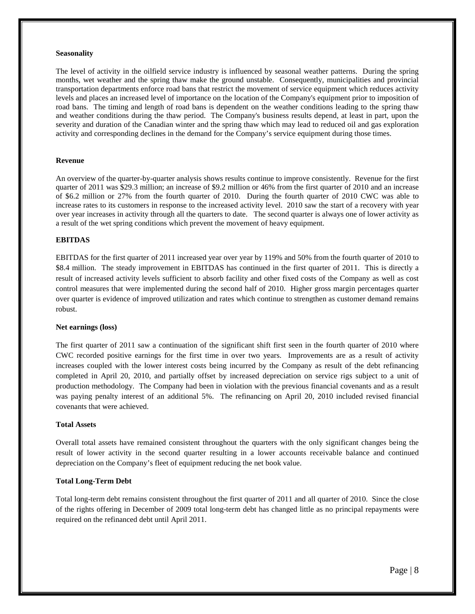#### **Seasonality**

The level of activity in the oilfield service industry is influenced by seasonal weather patterns. During the spring months, wet weather and the spring thaw make the ground unstable. Consequently, municipalities and provincial transportation departments enforce road bans that restrict the movement of service equipment which reduces activity levels and places an increased level of importance on the location of the Company's equipment prior to imposition of road bans. The timing and length of road bans is dependent on the weather conditions leading to the spring thaw and weather conditions during the thaw period. The Company's business results depend, at least in part, upon the severity and duration of the Canadian winter and the spring thaw which may lead to reduced oil and gas exploration activity and corresponding declines in the demand for the Company's service equipment during those times.

#### **Revenue**

An overview of the quarter-by-quarter analysis shows results continue to improve consistently. Revenue for the first quarter of 2011 was \$29.3 million; an increase of \$9.2 million or 46% from the first quarter of 2010 and an increase of \$6.2 million or 27% from the fourth quarter of 2010. During the fourth quarter of 2010 CWC was able to increase rates to its customers in response to the increased activity level. 2010 saw the start of a recovery with year over year increases in activity through all the quarters to date. The second quarter is always one of lower activity as a result of the wet spring conditions which prevent the movement of heavy equipment.

#### **EBITDAS**

EBITDAS for the first quarter of 2011 increased year over year by 119% and 50% from the fourth quarter of 2010 to \$8.4 million. The steady improvement in EBITDAS has continued in the first quarter of 2011. This is directly a result of increased activity levels sufficient to absorb facility and other fixed costs of the Company as well as cost control measures that were implemented during the second half of 2010. Higher gross margin percentages quarter over quarter is evidence of improved utilization and rates which continue to strengthen as customer demand remains robust.

#### **Net earnings (loss)**

The first quarter of 2011 saw a continuation of the significant shift first seen in the fourth quarter of 2010 where CWC recorded positive earnings for the first time in over two years. Improvements are as a result of activity increases coupled with the lower interest costs being incurred by the Company as result of the debt refinancing completed in April 20, 2010, and partially offset by increased depreciation on service rigs subject to a unit of production methodology. The Company had been in violation with the previous financial covenants and as a result was paying penalty interest of an additional 5%. The refinancing on April 20, 2010 included revised financial covenants that were achieved.

#### **Total Assets**

Overall total assets have remained consistent throughout the quarters with the only significant changes being the result of lower activity in the second quarter resulting in a lower accounts receivable balance and continued depreciation on the Company's fleet of equipment reducing the net book value.

#### **Total Long-Term Debt**

Total long-term debt remains consistent throughout the first quarter of 2011 and all quarter of 2010. Since the close of the rights offering in December of 2009 total long-term debt has changed little as no principal repayments were required on the refinanced debt until April 2011.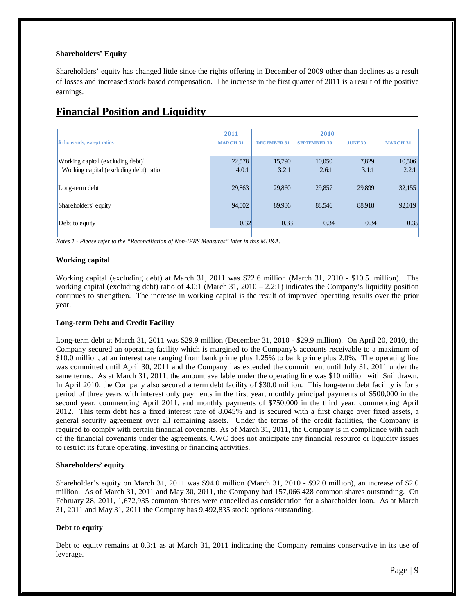#### **Shareholders' Equity**

Shareholders' equity has changed little since the rights offering in December of 2009 other than declines as a result of losses and increased stock based compensation. The increase in the first quarter of 2011 is a result of the positive earnings.

## **Financial Position and Liquidity**

|                                               | 2011            |                    | 2010                |                |                 |
|-----------------------------------------------|-----------------|--------------------|---------------------|----------------|-----------------|
| \$ thousands, except ratios                   | <b>MARCH 31</b> | <b>DECEMBER 31</b> | <b>SEPTEMBER 30</b> | <b>JUNE 30</b> | <b>MARCH 31</b> |
|                                               |                 |                    |                     |                |                 |
| Working capital (excluding debt) <sup>1</sup> | 22,578          | 15,790             | 10,050              | 7,829          | 10,506          |
| Working capital (excluding debt) ratio        | 4.0:1           | 3.2:1              | 2.6:1               | 3.1:1          | 2.2:1           |
| Long-term debt                                | 29,863          | 29,860             | 29,857              | 29,899         | 32,155          |
| Shareholders' equity                          | 94,002          | 89,986             | 88.546              | 88,918         | 92,019          |
| Debt to equity                                | 0.32            | 0.33               | 0.34                | 0.34           | 0.35            |
|                                               |                 |                    |                     |                |                 |

*Notes 1 - Please refer to the "Reconciliation of Non-IFRS Measures" later in this MD&A.*

### **Working capital**

Working capital (excluding debt) at March 31, 2011 was \$22.6 million (March 31, 2010 - \$10.5. million). The working capital (excluding debt) ratio of 4.0:1 (March 31,  $2010 - 2.2:1$ ) indicates the Company's liquidity position continues to strengthen. The increase in working capital is the result of improved operating results over the prior year.

### **Long-term Debt and Credit Facility**

Long-term debt at March 31, 2011 was \$29.9 million (December 31, 2010 - \$29.9 million). On April 20, 2010, the Company secured an operating facility which is margined to the Company's accounts receivable to a maximum of \$10.0 million, at an interest rate ranging from bank prime plus 1.25% to bank prime plus 2.0%. The operating line was committed until April 30, 2011 and the Company has extended the commitment until July 31, 2011 under the same terms. As at March 31, 2011, the amount available under the operating line was \$10 million with \$nil drawn. In April 2010, the Company also secured a term debt facility of \$30.0 million. This long-term debt facility is for a period of three years with interest only payments in the first year, monthly principal payments of \$500,000 in the second year, commencing April 2011, and monthly payments of \$750,000 in the third year, commencing April 2012. This term debt has a fixed interest rate of 8.045% and is secured with a first charge over fixed assets, a general security agreement over all remaining assets. Under the terms of the credit facilities, the Company is required to comply with certain financial covenants. As of March 31, 2011, the Company is in compliance with each of the financial covenants under the agreements. CWC does not anticipate any financial resource or liquidity issues to restrict its future operating, investing or financing activities.

#### **Shareholders' equity**

Shareholder's equity on March 31, 2011 was \$94.0 million (March 31, 2010 - \$92.0 million), an increase of \$2.0 million. As of March 31, 2011 and May 30, 2011, the Company had 157,066,428 common shares outstanding. On February 28, 2011, 1,672,935 common shares were cancelled as consideration for a shareholder loan. As at March 31, 2011 and May 31, 2011 the Company has 9,492,835 stock options outstanding.

### **Debt to equity**

Debt to equity remains at 0.3:1 as at March 31, 2011 indicating the Company remains conservative in its use of leverage.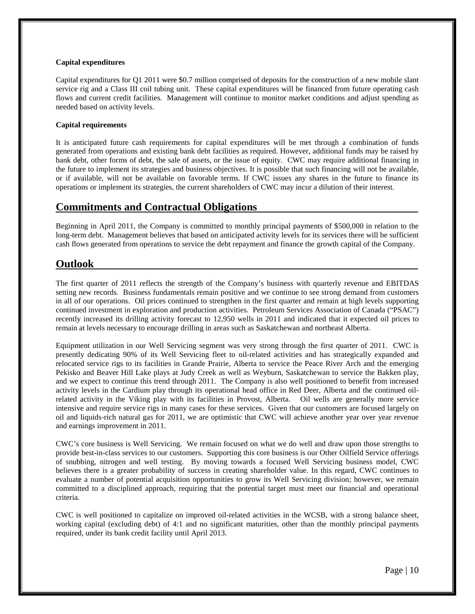#### **Capital expenditures**

Capital expenditures for Q1 2011 were \$0.7 million comprised of deposits for the construction of a new mobile slant service rig and a Class III coil tubing unit. These capital expenditures will be financed from future operating cash flows and current credit facilities. Management will continue to monitor market conditions and adjust spending as needed based on activity levels.

#### **Capital requirements**

It is anticipated future cash requirements for capital expenditures will be met through a combination of funds generated from operations and existing bank debt facilities as required. However, additional funds may be raised by bank debt, other forms of debt, the sale of assets, or the issue of equity. CWC may require additional financing in the future to implement its strategies and business objectives. It is possible that such financing will not be available, or if available, will not be available on favorable terms. If CWC issues any shares in the future to finance its operations or implement its strategies, the current shareholders of CWC may incur a dilution of their interest.

## **Commitments and Contractual Obligations**

Beginning in April 2011, the Company is committed to monthly principal payments of \$500,000 in relation to the long-term debt. Management believes that based on anticipated activity levels for its services there will be sufficient cash flows generated from operations to service the debt repayment and finance the growth capital of the Company.

## **Outlook**

The first quarter of 2011 reflects the strength of the Company's business with quarterly revenue and EBITDAS setting new records. Business fundamentals remain positive and we continue to see strong demand from customers in all of our operations. Oil prices continued to strengthen in the first quarter and remain at high levels supporting continued investment in exploration and production activities. Petroleum Services Association of Canada ("PSAC") recently increased its drilling activity forecast to 12,950 wells in 2011 and indicated that it expected oil prices to remain at levels necessary to encourage drilling in areas such as Saskatchewan and northeast Alberta.

Equipment utilization in our Well Servicing segment was very strong through the first quarter of 2011. CWC is presently dedicating 90% of its Well Servicing fleet to oil-related activities and has strategically expanded and relocated service rigs to its facilities in Grande Prairie, Alberta to service the Peace River Arch and the emerging Pekisko and Beaver Hill Lake plays at Judy Creek as well as Weyburn, Saskatchewan to service the Bakken play, and we expect to continue this trend through 2011. The Company is also well positioned to benefit from increased activity levels in the Cardium play through its operational head office in Red Deer, Alberta and the continued oilrelated activity in the Viking play with its facilities in Provost, Alberta. Oil wells are generally more service intensive and require service rigs in many cases for these services. Given that our customers are focused largely on oil and liquids-rich natural gas for 2011, we are optimistic that CWC will achieve another year over year revenue and earnings improvement in 2011.

CWC's core business is Well Servicing. We remain focused on what we do well and draw upon those strengths to provide best-in-class services to our customers. Supporting this core business is our Other Oilfield Service offerings of snubbing, nitrogen and well testing. By moving towards a focused Well Servicing business model, CWC believes there is a greater probability of success in creating shareholder value. In this regard, CWC continues to evaluate a number of potential acquisition opportunities to grow its Well Servicing division; however, we remain committed to a disciplined approach, requiring that the potential target must meet our financial and operational criteria.

CWC is well positioned to capitalize on improved oil-related activities in the WCSB, with a strong balance sheet, working capital (excluding debt) of 4:1 and no significant maturities, other than the monthly principal payments required, under its bank credit facility until April 2013.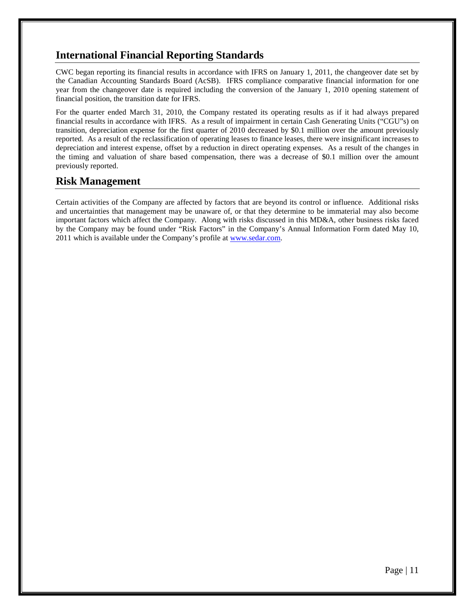## **International Financial Reporting Standards**

CWC began reporting its financial results in accordance with IFRS on January 1, 2011, the changeover date set by the Canadian Accounting Standards Board (AcSB). IFRS compliance comparative financial information for one year from the changeover date is required including the conversion of the January 1, 2010 opening statement of financial position, the transition date for IFRS.

For the quarter ended March 31, 2010, the Company restated its operating results as if it had always prepared financial results in accordance with IFRS. As a result of impairment in certain Cash Generating Units ("CGU"s) on transition, depreciation expense for the first quarter of 2010 decreased by \$0.1 million over the amount previously reported. As a result of the reclassification of operating leases to finance leases, there were insignificant increases to depreciation and interest expense, offset by a reduction in direct operating expenses. As a result of the changes in the timing and valuation of share based compensation, there was a decrease of \$0.1 million over the amount previously reported.

## **Risk Management**

Certain activities of the Company are affected by factors that are beyond its control or influence. Additional risks and uncertainties that management may be unaware of, or that they determine to be immaterial may also become important factors which affect the Company. Along with risks discussed in this MD&A, other business risks faced by the Company may be found under "Risk Factors" in the Company's Annual Information Form dated May 10, 2011 which is available under the Company's profile a[t www.sedar.com.](http://www.sedar.com/)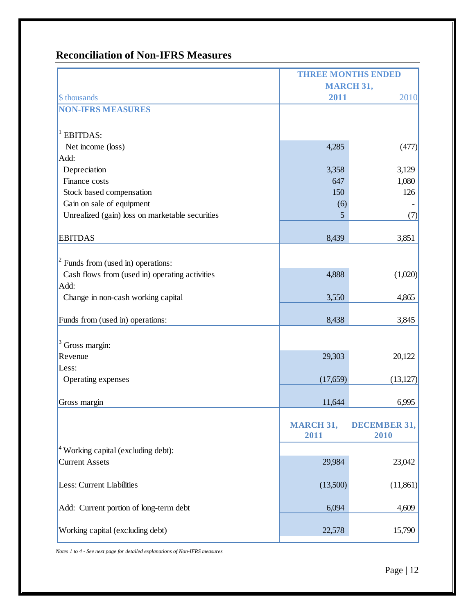# **Reconciliation of Non-IFRS Measures**

|                                                 | <b>THREE MONTHS ENDED</b> |                             |  |
|-------------------------------------------------|---------------------------|-----------------------------|--|
|                                                 | <b>MARCH 31,</b>          |                             |  |
| \$ thousands                                    | 2011                      | 2010                        |  |
| <b>NON-IFRS MEASURES</b>                        |                           |                             |  |
|                                                 |                           |                             |  |
| 1<br><b>EBITDAS:</b>                            |                           |                             |  |
| Net income (loss)                               | 4,285                     | (477)                       |  |
| Add:                                            |                           |                             |  |
| Depreciation                                    | 3,358                     | 3,129                       |  |
| Finance costs                                   | 647                       | 1,080                       |  |
| Stock based compensation                        | 150                       | 126                         |  |
| Gain on sale of equipment                       | (6)                       |                             |  |
| Unrealized (gain) loss on marketable securities | 5                         | (7)                         |  |
|                                                 |                           |                             |  |
| <b>EBITDAS</b>                                  | 8,439                     | 3,851                       |  |
|                                                 |                           |                             |  |
| $2$ Funds from (used in) operations:            |                           |                             |  |
| Cash flows from (used in) operating activities  | 4,888                     | (1,020)                     |  |
| Add:                                            |                           |                             |  |
| Change in non-cash working capital              | 3,550                     | 4,865                       |  |
| Funds from (used in) operations:                | 8,438                     | 3,845                       |  |
|                                                 |                           |                             |  |
| Gross margin:                                   |                           |                             |  |
| Revenue                                         | 29,303                    | 20,122                      |  |
| Less:                                           |                           |                             |  |
| Operating expenses                              | (17, 659)                 | (13, 127)                   |  |
| Gross margin                                    | 11,644                    | 6,995                       |  |
|                                                 |                           |                             |  |
|                                                 | <b>MARCH 31,</b><br>2011  | <b>DECEMBER 31,</b><br>2010 |  |
| <sup>4</sup> Working capital (excluding debt):  |                           |                             |  |
| <b>Current Assets</b>                           | 29,984                    | 23,042                      |  |
|                                                 |                           |                             |  |
| Less: Current Liabilities                       | (13,500)                  | (11, 861)                   |  |
| Add: Current portion of long-term debt          | 6,094                     | 4,609                       |  |
| Working capital (excluding debt)                | 22,578                    | 15,790                      |  |

*Notes 1 to 4 - See next page for detailed explanations of Non-IFRS measures*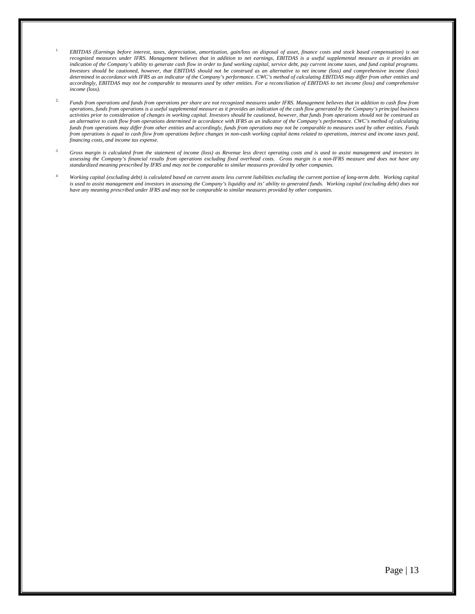- 1. *EBITDAS (Earnings before interest, taxes, depreciation, amortization, gain/loss on disposal of asset, finance costs and stock based compensation) is not recognized measures under IFRS. Management believes that in addition to net earnings, EBITDAS is a useful supplemental measure as it provides an indication of the Company's ability to generate cash flow in order to fund working capital, service debt, pay current income taxes, and fund capital programs. Investors should be cautioned, however, that EBITDAS should not be construed as an alternative to net income (loss) and comprehensive income (loss) determined in accordance with IFRS as an indicator of the Company's performance. CWC's method of calculating EBITDAS may differ from other entities and accordingly, EBITDAS may not be comparable to measures used by other entities. For a reconciliation of EBITDAS to net income (loss) and comprehensive income (loss).*
- 2. *Funds from operations and funds from operations per share are not recognized measures under IFRS. Management believes that in addition to cash flow from operations, funds from operations is a useful supplemental measure as it provides an indication of the cash flow generated by the Company's principal business activities prior to consideration of changes in working capital. Investors should be cautioned, however, that funds from operations should not be construed as an alternative to cash flow from operations determined in accordance with IFRS as an indicator of the Company's performance. CWC's method of calculating funds from operations may differ from other entities and accordingly, funds from operations may not be comparable to measures used by other entities. Funds from operations is equal to cash flow from operations before changes in non-cash working capital items related to operations, interest and income taxes paid, financing costs, and income tax expense.*
- *3. Gross margin is calculated from the statement of income (loss) as Revenue less direct operating costs and is used to assist management and investors in assessing the Company's financial results from operations excluding fixed overhead costs. Gross margin is a non-IFRS measure and does not have any standardized meaning prescribed by IFRS and may not be comparable to similar measures provided by other companies.*
- *4. Working capital (excluding debt) is calculated based on current assets less current liabilities excluding the current portion of long-term debt. Working capital is used to assist management and investors in assessing the Company's liquidity and its' ability to generated funds. Working capital (excluding debt) does not have any meaning prescribed under IFRS and may not be comparable to similar measures provided by other companies.*